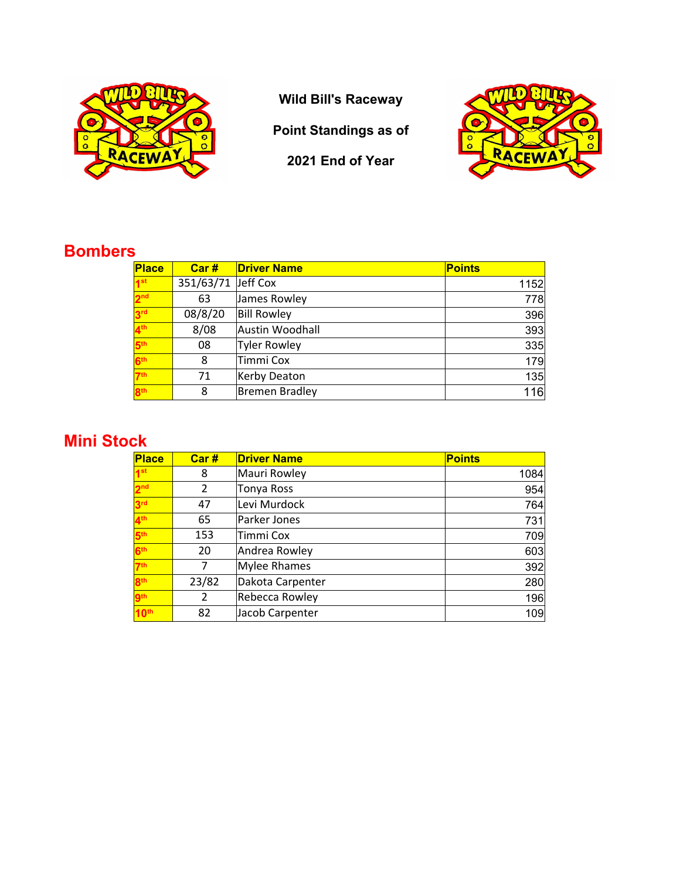

**Wild Bill's Raceway**

**Point Standings as of**

**2021 End of Year**



## **Bombers**

| <b>Place</b>    | Car#      | <b>Driver Name</b>  | <b>Points</b> |
|-----------------|-----------|---------------------|---------------|
| 1 <sup>st</sup> | 351/63/71 | Jeff Cox            | 1152          |
| 2 <sub>nd</sub> | 63        | James Rowley        | 778           |
| 3 <sup>rd</sup> | 08/8/20   | <b>Bill Rowley</b>  | 396           |
| 4 <sup>th</sup> | 8/08      | Austin Woodhall     | 393           |
| 5 <sup>th</sup> | 08        | <b>Tyler Rowley</b> | 335           |
| 6 <sup>th</sup> | 8         | Timmi Cox           | 179           |
| 7 <sup>th</sup> | 71        | Kerby Deaton        | 135           |
| 8 <sup>th</sup> | 8         | Bremen Bradley      | 116           |

## **Mini Stock**

| <b>Place</b>     | Car#  | <b>Driver Name</b>  | <b>Points</b> |
|------------------|-------|---------------------|---------------|
| 1 <sup>st</sup>  | 8     | Mauri Rowley        | 1084          |
| 2 <sup>nd</sup>  | 2     | <b>Tonya Ross</b>   | 954           |
| 3 <sup>rd</sup>  | 47    | Levi Murdock        | 764           |
| 4 <sup>th</sup>  | 65    | Parker Jones        | 731           |
| 5 <sub>th</sub>  | 153   | Timmi Cox           | 709           |
| <b>Rth</b>       | 20    | Andrea Rowley       | 603           |
| 7 <sup>th</sup>  | 7     | <b>Mylee Rhames</b> | 392           |
| <b>8th</b>       | 23/82 | Dakota Carpenter    | 280           |
| <b>gth</b>       | 2     | Rebecca Rowley      | 196           |
| 10 <sup>th</sup> | 82    | Jacob Carpenter     | 109           |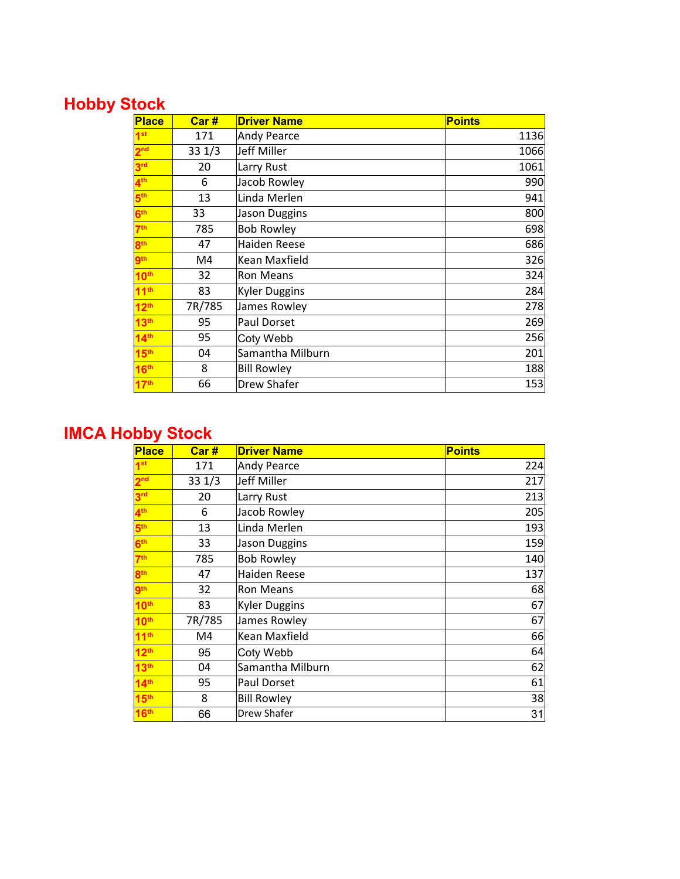# **Hobby Stock**

| <b>Place</b>     | Car#   | <b>Driver Name</b>   | <b>Points</b> |
|------------------|--------|----------------------|---------------|
| 1 <sup>st</sup>  | 171    | <b>Andy Pearce</b>   | 1136          |
| 2 <sup>nd</sup>  | 331/3  | Jeff Miller          | 1066          |
| 3 <sup>rd</sup>  | 20     | Larry Rust           | 1061          |
| $4^{\text{th}}$  | 6      | Jacob Rowley         | 990           |
| $5^{\text{th}}$  | 13     | Linda Merlen         | 941           |
| 6 <sup>th</sup>  | 33     | <b>Jason Duggins</b> | 800           |
| 7 <sup>th</sup>  | 785    | <b>Bob Rowley</b>    | 698           |
| 8 <sup>th</sup>  | 47     | Haiden Reese         | 686           |
| <b>gth</b>       | M4     | Kean Maxfield        | 326           |
| 10 <sup>th</sup> | 32     | <b>Ron Means</b>     | 324           |
| 11 <sup>th</sup> | 83     | <b>Kyler Duggins</b> | 284           |
| 12 <sup>th</sup> | 7R/785 | James Rowley         | 278           |
| 13 <sup>th</sup> | 95     | Paul Dorset          | 269           |
| 14 <sup>th</sup> | 95     | Coty Webb            | 256           |
| 15 <sup>th</sup> | 04     | Samantha Milburn     | 201           |
| 16 <sup>th</sup> | 8      | <b>Bill Rowley</b>   | 188           |
| 17 <sup>th</sup> | 66     | Drew Shafer          | 153           |

## **IMCA Hobby Stock**

| <b>Place</b>     | Car#   | <b>Driver Name</b>   | <b>Points</b> |
|------------------|--------|----------------------|---------------|
| 4 <sub>st</sub>  | 171    | <b>Andy Pearce</b>   | 224           |
| 2 <sup>nd</sup>  | 331/3  | Jeff Miller          | 217           |
| 3 <sup>rd</sup>  | 20     | Larry Rust           | 213           |
| 4 <sup>th</sup>  | 6      | Jacob Rowley         | 205           |
| 5 <sup>th</sup>  | 13     | Linda Merlen         | 193           |
| 6 <sup>th</sup>  | 33     | Jason Duggins        | 159           |
| 7 <sup>th</sup>  | 785    | <b>Bob Rowley</b>    | 140           |
| 8 <sup>th</sup>  | 47     | <b>Haiden Reese</b>  | 137           |
| 9 <sup>th</sup>  | 32     | <b>Ron Means</b>     | 68            |
| 10 <sup>th</sup> | 83     | <b>Kyler Duggins</b> | 67            |
| 10 <sup>th</sup> | 7R/785 | James Rowley         | 67            |
| 11 <sup>th</sup> | M4     | <b>Kean Maxfield</b> | 66            |
| 12 <sup>th</sup> | 95     | Coty Webb            | 64            |
| 13 <sup>th</sup> | 04     | Samantha Milburn     | 62            |
| 14 <sup>th</sup> | 95     | Paul Dorset          | 61            |
| 15 <sup>th</sup> | 8      | <b>Bill Rowley</b>   | 38            |
| 16 <sup>th</sup> | 66     | Drew Shafer          | 31            |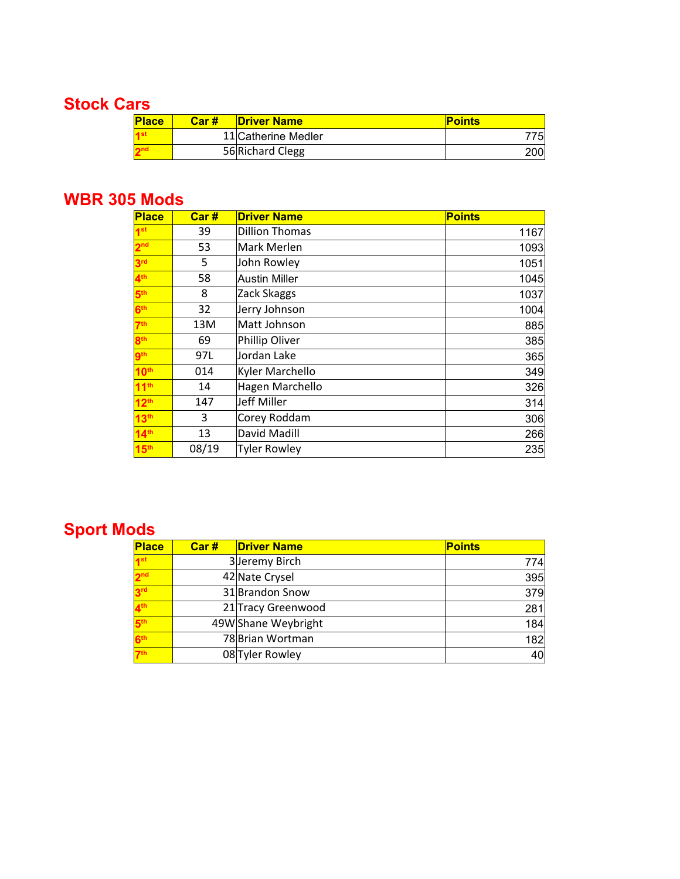### **Stock Cars**

| <b>Place</b> | Car# | <b>Driver Name</b>  | <b>Points</b> |
|--------------|------|---------------------|---------------|
|              |      | 11 Catherine Medler |               |
|              |      | 56 Richard Clegg    | 200           |

#### **WBR 305 Mods**

| <b>Place</b>     | Car#  | <b>Driver Name</b>    | <b>Points</b> |
|------------------|-------|-----------------------|---------------|
| 1 <sup>st</sup>  | 39    | <b>Dillion Thomas</b> | 1167          |
| 2 <sup>nd</sup>  | 53    | Mark Merlen           | 1093          |
| 3rd              | 5     | John Rowley           | 1051          |
| 4 <sup>th</sup>  | 58    | Austin Miller         | 1045          |
| 5 <sup>th</sup>  | 8     | Zack Skaggs           | 1037          |
| 6 <sup>th</sup>  | 32    | Jerry Johnson         | 1004          |
| 7 <sup>th</sup>  | 13M   | Matt Johnson          | 885           |
| 8 <sup>th</sup>  | 69    | Phillip Oliver        | 385           |
| <b>gth</b>       | 97L   | Jordan Lake           | 365           |
| 10 <sup>th</sup> | 014   | Kyler Marchello       | 349           |
| 11 <sup>th</sup> | 14    | Hagen Marchello       | 326           |
| 12 <sup>th</sup> | 147   | Jeff Miller           | 314           |
| 13 <sup>th</sup> | 3     | Corey Roddam          | 306           |
| 14 <sup>th</sup> | 13    | David Madill          | 266           |
| 15 <sup>th</sup> | 08/19 | <b>Tyler Rowley</b>   | 235           |

# **Sport Mods**

| <b>Place</b>    | Car# | <b>Driver Name</b>  | <b>Points</b> |
|-----------------|------|---------------------|---------------|
| 1 <sup>st</sup> |      | 3 Jeremy Birch      | 774           |
| 2 <sup>nd</sup> |      | 42 Nate Crysel      | 395           |
| 3 <sup>rd</sup> |      | 31 Brandon Snow     | 379           |
| 4 <sup>th</sup> |      | 21 Tracy Greenwood  | 281           |
| 5 <sup>th</sup> |      | 49W Shane Weybright | 184           |
| 6 <sup>th</sup> |      | 78 Brian Wortman    | 182           |
| 7 <sup>th</sup> |      | 08 Tyler Rowley     | 40            |